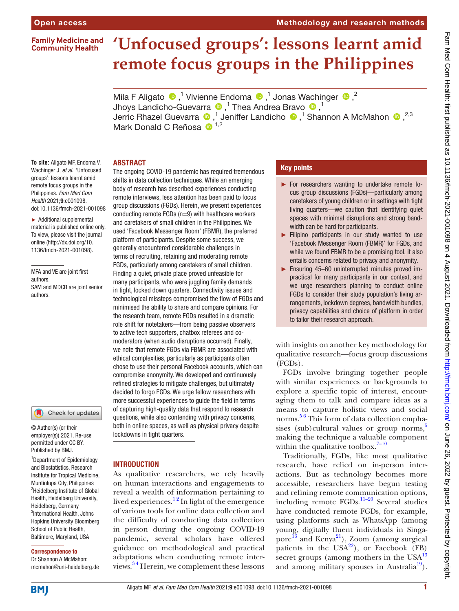#### **Family Medicine and Community Health**

# **'Unfocused groups': lessons learnt amid remote focus groups in the Philippines**

MilaF Aligato  $\bullet$ ,<sup>1</sup> Vivienne Endoma  $\bullet$ ,<sup>1</sup> Jonas Wachinger  $\bullet$ ,<sup>2</sup> Jhoys Landicho-Guevarra  $\bullet$  ,<sup>1</sup> Thea Andrea Bravo  $\bullet$  ,<sup>1</sup> JerricRhazel Guevarra  $\bigcirc$ ,<sup>1</sup> Jeniffer Landicho  $\bigcirc$ ,<sup>1</sup> Shannon A McMahon  $\bigcirc$ ,<sup>2,3</sup> Mark Donald C Reñosa  $\bullet$ <sup>1,2</sup>

# ABSTRACT

**To cite:** Aligato MF, Endoma V, Wachinger J, *et al*. 'Unfocused groups': lessons learnt amid remote focus groups in the Philippines. *Fam Med Com Health* 2021;9:e001098. doi:10.1136/fmch-2021-001098

► Additional supplemental material is published online only. To view, please visit the journal online [\(http://dx.doi.org/10.](http://dx.doi.org/10.1136/fmch-2021-001098) [1136/fmch-2021-001098](http://dx.doi.org/10.1136/fmch-2021-001098)).

MFA and VE are joint first authors. SAM and MDCR are joint senior authors.



© Author(s) (or their employer(s)) 2021. Re-use permitted under CC BY. Published by BMJ.

1 Department of Epidemiology and Biostatistics, Research Institute for Tropical Medicine, Muntinlupa City, Philippines <sup>2</sup>Heidelberg Institute of Global Health, Heidelberg University, Heidelberg, Germany 3 International Health, Johns Hopkins University Bloomberg School of Public Health, Baltimore, Maryland, USA

#### Correspondence to

Dr Shannon A McMahon; mcmahon@uni-heidelberg.de The ongoing COVID-19 pandemic has required tremendous shifts in data collection techniques. While an emerging body of research has described experiences conducting remote interviews, less attention has been paid to focus group discussions (FGDs). Herein, we present experiences conducting remote FGDs (n=9) with healthcare workers and caretakers of small children in the Philippines. We used 'Facebook Messenger Room' (FBMR), the preferred platform of participants. Despite some success, we generally encountered considerable challenges in terms of recruiting, retaining and moderating remote FGDs, particularly among caretakers of small children. Finding a quiet, private place proved unfeasible for many participants, who were juggling family demands in tight, locked down quarters. Connectivity issues and technological missteps compromised the flow of FGDs and minimised the ability to share and compare opinions. For the research team, remote FGDs resulted in a dramatic role shift for notetakers—from being passive observers to active tech supporters, chatbox referees and comoderators (when audio disruptions occurred). Finally, we note that remote FGDs via FBMR are associated with ethical complexities, particularly as participants often chose to use their personal Facebook accounts, which can compromise anonymity. We developed and continuously refined strategies to mitigate challenges, but ultimately decided to forgo FGDs. We urge fellow researchers with more successful experiences to guide the field in terms of capturing high-quality data that respond to research questions, while also contending with privacy concerns, both in online spaces, as well as physical privacy despite lockdowns in tight quarters.

# **INTRODUCTION**

As qualitative researchers, we rely heavily on human interactions and engagements to reveal a wealth of information pertaining to lived experiences. $1<sup>2</sup>$  In light of the emergence of various tools for online data collection and the difficulty of conducting data collection in person during the ongoing COVID-19 pandemic, several scholars have offered guidance on methodological and practical adaptations when conducting remote interviews.<sup>34</sup> Herein, we complement these lessons

# Key points

- ► For researchers wanting to undertake remote focus group discussions (FGDs)—particularly among caretakers of young children or in settings with tight living quarters—we caution that identifying quiet spaces with minimal disruptions and strong bandwidth can be hard for participants.
- ► Filipino participants in our study wanted to use 'Facebook Messenger Room (FBMR)' for FGDs, and while we found FBMR to be a promising tool, it also entails concerns related to privacy and anonymity.
- ► Ensuring 45–60 uninterrupted minutes proved impractical for many participants in our context, and we urge researchers planning to conduct online FGDs to consider their study population's living arrangements, lockdown degrees, bandwidth bundles, privacy capabilities and choice of platform in order to tailor their research approach.

with insights on another key methodology for qualitative research—focus group discussions (FGDs).

FGDs involve bringing together people with similar experiences or backgrounds to explore a specific topic of interest, encouraging them to talk and compare ideas as a means to capture holistic views and social norms. [5 6](#page-5-2) This form of data collection emphasises (sub)cultural values or group norms, $5$ making the technique a valuable component within the qualitative toolbox. $7-10$ 

Traditionally, FGDs, like most qualitative research, have relied on in-person interactions. But as technology becomes more accessible, researchers have begun testing and refining remote communication options, including remote FGDs.[11–20](#page-5-4) Several studies have conducted remote FGDs, for example, using platforms such as WhatsApp (among young, digitally fluent individuals in Singapore<sup>16</sup> and Kenya<sup>21</sup>), Zoom (among surgical patients in the  $USA^{22}$ ), or Facebook (FB) secret groups (among mothers in the  $USA^{13}$  $USA^{13}$  $USA^{13}$ and among military spouses in Australia<sup>19</sup>).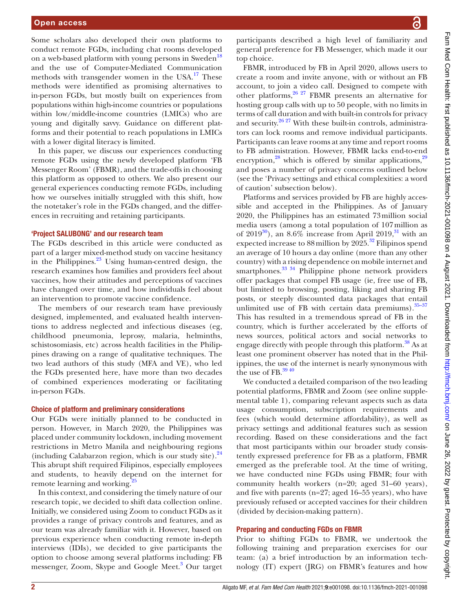Some scholars also developed their own platforms to conduct remote FGDs, including chat rooms developed on a web-based platform with young persons in Sweden<sup>18</sup> and the use of Computer-Mediated Communication methods with transgender women in the USA.<sup>[17](#page-6-5)</sup> These methods were identified as promising alternatives to in-person FGDs, but mostly built on experiences from populations within high-income countries or populations within low/middle-income countries (LMICs) who are young and digitally savvy. Guidance on different platforms and their potential to reach populations in LMICs with a lower digital literacy is limited.

In this paper, we discuss our experiences conducting remote FGDs using the newly developed platform 'FB Messenger Room' (FBMR), and the trade-offs in choosing this platform as opposed to others. We also present our general experiences conducting remote FGDs, including how we ourselves initially struggled with this shift, how the notetaker's role in the FGDs changed, and the differences in recruiting and retaining participants.

#### 'Project SALUBONG' and our research team

The FGDs described in this article were conducted as part of a larger mixed-method study on vaccine hesitancy in the Philippines. $^{23}$  Using human-centred design, the research examines how families and providers feel about vaccines, how their attitudes and perceptions of vaccines have changed over time, and how individuals feel about an intervention to promote vaccine confidence.

The members of our research team have previously designed, implemented, and evaluated health interventions to address neglected and infectious diseases (eg, childhood pneumonia, leprosy, malaria, helminths, schistosomiasis, etc) across health facilities in the Philippines drawing on a range of qualitative techniques. The two lead authors of this study (MFA and VE), who led the FGDs presented here, have more than two decades of combined experiences moderating or facilitating in-person FGDs.

#### Choice of platform and preliminary considerations

Our FGDs were initially planned to be conducted in person. However, in March 2020, the Philippines was placed under community lockdown, including movement restrictions in Metro Manila and neighbouring regions (including Calabarzon region, which is our study site). $24$ This abrupt shift required Filipinos, especially employees and students, to heavily depend on the internet for remote learning and working.<sup>2</sup>

In this context, and considering the timely nature of our research topic, we decided to shift data collection online. Initially, we considered using Zoom to conduct FGDs as it provides a range of privacy controls and features, and as our team was already familiar with it. However, based on previous experience when conducting remote in-depth interviews (IDIs), we decided to give participants the option to choose among several platforms including: FB messenger, Zoom, Skype and Google Meet.<sup>[3](#page-5-1)</sup> Our target participants described a high level of familiarity and general preference for FB Messenger, which made it our top choice.

FBMR, introduced by FB in April 2020, allows users to create a room and invite anyone, with or without an FB account, to join a video call. Designed to compete with other platforms,  $26 \times 27$  FBMR presents an alternative for hosting group calls with up to 50 people, with no limits in terms of call duration and with built-in controls for privacy and security. $26\frac{27}{10}$  With these built-in controls, administrators can lock rooms and remove individual participants. Participants can leave rooms at any time and report rooms to FB administration. However, FBMR lacks end-to-end encryption,<sup>28</sup> which is offered by similar applications,  $29$ and poses a number of privacy concerns outlined below (see the 'Privacy settings and ethical complexities: a word of caution' subsection below).

Platforms and services provided by FB are highly accessible and accepted in the Philippines. As of January 2020, the Philippines has an estimated 73million social media users (among a total population of 107million as of 2019<sup>30</sup>), an 8.6% increase from April 2019,<sup>31</sup> with an expected increase to  $88$  million by  $2025.<sup>32</sup>$  $2025.<sup>32</sup>$  $2025.<sup>32</sup>$  Filipinos spend an average of 10 hours a day online (more than any other country) with a rising dependence on mobile internet and smartphones.<sup>33</sup> <sup>34</sup> Philippine phone network providers offer packages that compel FB usage (ie, free use of FB, but limited to browsing, posting, liking and sharing FB posts, or steeply discounted data packages that entail unlimited use of FB with certain data premiums). $35-37$ This has resulted in a tremendous spread of FB in the country, which is further accelerated by the efforts of news sources, political actors and social networks to engage directly with people through this platform.<sup>38</sup> As at least one prominent observer has noted that in the Philippines, the use of the internet is nearly synonymous with the use of FB. $^{39\,40}$ 

We conducted a detailed comparison of the two leading potential platforms, FBMR and Zoom (see [online supple](https://dx.doi.org/10.1136/fmch-2021-001098)[mental table 1\)](https://dx.doi.org/10.1136/fmch-2021-001098), comparing relevant aspects such as data usage consumption, subscription requirements and fees (which would determine affordability), as well as privacy settings and additional features such as session recording. Based on these considerations and the fact that most participants within our broader study consistently expressed preference for FB as a platform, FBMR emerged as the preferable tool. At the time of writing, we have conducted nine FGDs using FBMR; four with community health workers (n=20; aged 31–60 years), and five with parents (n=27; aged 16–55 years), who have previously refused or accepted vaccines for their children (divided by decision-making pattern).

# Preparing and conducting FGDs on FBMR

Prior to shifting FGDs to FBMR, we undertook the following training and preparation exercises for our team: (a) a brief introduction by an information technology (IT) expert (JRG) on FBMR's features and how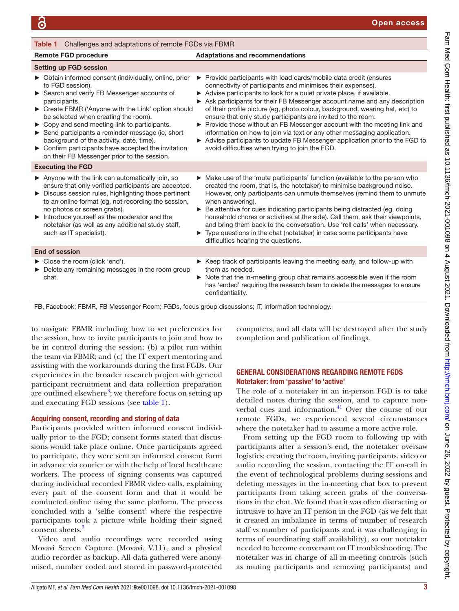<span id="page-2-0"></span>

| <b>Table 1</b> Challenges and adaptations of remote FGDs via FBMR                                                                                                                                                                                                                                                                                                                                                                                                                                             |                                                                                                                                                                                                                                                                                                                                                                                                                                                                                                                                                                                                                                                                                                                                  |
|---------------------------------------------------------------------------------------------------------------------------------------------------------------------------------------------------------------------------------------------------------------------------------------------------------------------------------------------------------------------------------------------------------------------------------------------------------------------------------------------------------------|----------------------------------------------------------------------------------------------------------------------------------------------------------------------------------------------------------------------------------------------------------------------------------------------------------------------------------------------------------------------------------------------------------------------------------------------------------------------------------------------------------------------------------------------------------------------------------------------------------------------------------------------------------------------------------------------------------------------------------|
| <b>Remote FGD procedure</b>                                                                                                                                                                                                                                                                                                                                                                                                                                                                                   | <b>Adaptations and recommendations</b>                                                                                                                                                                                                                                                                                                                                                                                                                                                                                                                                                                                                                                                                                           |
| <b>Setting up FGD session</b>                                                                                                                                                                                                                                                                                                                                                                                                                                                                                 |                                                                                                                                                                                                                                                                                                                                                                                                                                                                                                                                                                                                                                                                                                                                  |
| ▶ Obtain informed consent (individually, online, prior<br>to FGD session).<br>Search and verify FB Messenger accounts of<br>participants.<br>▶ Create FBMR ('Anyone with the Link' option should<br>be selected when creating the room).<br>▶ Copy and send meeting link to participants.<br>Send participants a reminder message (ie, short<br>background of the activity, date, time).<br>$\triangleright$ Confirm participants have accepted the invitation<br>on their FB Messenger prior to the session. | ▶ Provide participants with load cards/mobile data credit (ensures<br>connectivity of participants and minimises their expenses).<br>Advise participants to look for a quiet private place, if available.<br>► Ask participants for their FB Messenger account name and any description<br>of their profile picture (eg, photo colour, background, wearing hat, etc) to<br>ensure that only study participants are invited to the room.<br>▶ Provide those without an FB Messenger account with the meeting link and<br>information on how to join via text or any other messaging application.<br>Advise participants to update FB Messenger application prior to the FGD to<br>avoid difficulties when trying to join the FGD. |
| <b>Executing the FGD</b>                                                                                                                                                                                                                                                                                                                                                                                                                                                                                      |                                                                                                                                                                                                                                                                                                                                                                                                                                                                                                                                                                                                                                                                                                                                  |
| $\triangleright$ Anyone with the link can automatically join, so<br>ensure that only verified participants are accepted.<br>> Discuss session rules, highlighting those pertinent<br>to an online format (eg, not recording the session,<br>no photos or screen grabs).<br>Introduce yourself as the moderator and the<br>notetaker (as well as any additional study staff,<br>such as IT specialist).                                                                                                        | $\triangleright$ Make use of the 'mute participants' function (available to the person who<br>created the room, that is, the notetaker) to minimise background noise.<br>However, only participants can unmute themselves (remind them to unmute<br>when answering).<br>▶ Be attentive for cues indicating participants being distracted (eg, doing<br>household chores or activities at the side). Call them, ask their viewpoints,<br>and bring them back to the conversation. Use 'roll calls' when necessary.<br>Type questions in the chat (notetaker) in case some participants have<br>difficulties hearing the questions.                                                                                                |
| <b>End of session</b>                                                                                                                                                                                                                                                                                                                                                                                                                                                                                         |                                                                                                                                                                                                                                                                                                                                                                                                                                                                                                                                                                                                                                                                                                                                  |
| ► Close the room (click 'end').<br>Delete any remaining messages in the room group<br>chat.                                                                                                                                                                                                                                                                                                                                                                                                                   | $\triangleright$ Keep track of participants leaving the meeting early, and follow-up with<br>them as needed.<br>▶ Note that the in-meeting group chat remains accessible even if the room<br>has 'ended' requiring the research team to delete the messages to ensure<br>confidentiality.                                                                                                                                                                                                                                                                                                                                                                                                                                        |

FB, Facebook; FBMR, FB Messenger Room; FGDs, focus group discussions; IT, information technology.

to navigate FBMR including how to set preferences for the session, how to invite participants to join and how to be in control during the session; (b) a pilot run within the team via FBMR; and (c) the IT expert mentoring and assisting with the workarounds during the first FGDs. Our experiences in the broader research project with general participant recruitment and data collection preparation are outlined elsewhere<sup>3</sup>; we therefore focus on setting up and executing FGD sessions (see [table](#page-2-0) 1).

# Acquiring consent, recording and storing of data

Participants provided written informed consent individually prior to the FGD; consent forms stated that discussions would take place online. Once participants agreed to participate, they were sent an informed consent form in advance via courier or with the help of local healthcare workers. The process of signing consents was captured during individual recorded FBMR video calls, explaining every part of the consent form and that it would be conducted online using the same platform. The process concluded with a 'selfie consent' where the respective participants took a picture while holding their signed consent sheets.<sup>[3](#page-5-1)</sup>

Video and audio recordings were recorded using Movavi Screen Capture (Movavi, V.11), and a physical audio recorder as backup. All data gathered were anonymised, number coded and stored in password-protected

computers, and all data will be destroyed after the study completion and publication of findings.

# GENERAL CONSIDERATIONS REGARDING REMOTE FGDS Notetaker: from 'passive' to 'active'

The role of a notetaker in an in-person FGD is to take detailed notes during the session, and to capture nonverbal cues and information. $41$  Over the course of our remote FGDs, we experienced several circumstances where the notetaker had to assume a more active role.

From setting up the FGD room to following up with participants after a session's end, the notetaker oversaw logistics: creating the room, inviting participants, video or audio recording the session, contacting the IT on-call in the event of technological problems during sessions and deleting messages in the in-meeting chat box to prevent participants from taking screen grabs of the conversations in the chat. We found that it was often distracting or intrusive to have an IT person in the FGD (as we felt that it created an imbalance in terms of number of research staff vs number of participants and it was challenging in terms of coordinating staff availability), so our notetaker needed to become conversant on IT troubleshooting. The notetaker was in charge of all in-meeting controls (such as muting participants and removing participants) and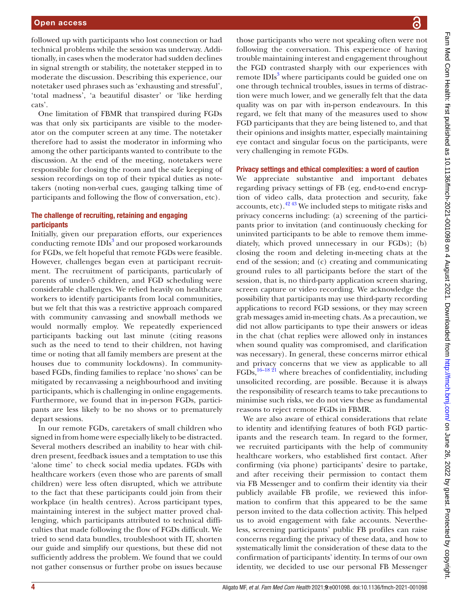followed up with participants who lost connection or had technical problems while the session was underway. Additionally, in cases when the moderator had sudden declines in signal strength or stability, the notetaker stepped in to moderate the discussion. Describing this experience, our notetaker used phrases such as 'exhausting and stressful', 'total madness', 'a beautiful disaster' or 'like herding cats'.

One limitation of FBMR that transpired during FGDs was that only six participants are visible to the moderator on the computer screen at any time. The notetaker therefore had to assist the moderator in informing who among the other participants wanted to contribute to the discussion. At the end of the meeting, notetakers were responsible for closing the room and the safe keeping of session recordings on top of their typical duties as notetakers (noting non-verbal cues, gauging talking time of participants and following the flow of conversation, etc).

# The challenge of recruiting, retaining and engaging participants

Initially, given our preparation efforts, our experiences conducting remote IDIs<sup>[3](#page-5-1)</sup> and our proposed workarounds for FGDs, we felt hopeful that remote FGDs were feasible. However, challenges began even at participant recruitment. The recruitment of participants, particularly of parents of under-5 children, and FGD scheduling were considerable challenges. We relied heavily on healthcare workers to identify participants from local communities, but we felt that this was a restrictive approach compared with community canvassing and snowball methods we would normally employ. We repeatedly experienced participants backing out last minute (citing reasons such as the need to tend to their children, not having time or noting that all family members are present at the houses due to community lockdowns). In communitybased FGDs, finding families to replace 'no shows' can be mitigated by recanvassing a neighbourhood and inviting participants, which is challenging in online engagements. Furthermore, we found that in in-person FGDs, participants are less likely to be no shows or to prematurely depart sessions.

In our remote FGDs, caretakers of small children who signed in from home were especially likely to be distracted. Several mothers described an inability to hear with children present, feedback issues and a temptation to use this 'alone time' to check social media updates. FGDs with healthcare workers (even those who are parents of small children) were less often disrupted, which we attribute to the fact that these participants could join from their workplace (in health centres). Across participant types, maintaining interest in the subject matter proved challenging, which participants attributed to technical difficulties that made following the flow of FGDs difficult. We tried to send data bundles, troubleshoot with IT, shorten our guide and simplify our questions, but these did not sufficiently address the problem. We found that we could not gather consensus or further probe on issues because

those participants who were not speaking often were not following the conversation. This experience of having trouble maintaining interest and engagement throughout the FGD contrasted sharply with our experiences with remote IDIs<sup>[3](#page-5-1)</sup> where participants could be guided one on one through technical troubles, issues in terms of distraction were much lower, and we generally felt that the data quality was on par with in-person endeavours. In this regard, we felt that many of the measures used to show FGD participants that they are being listened to, and that their opinions and insights matter, especially maintaining eye contact and singular focus on the participants, were very challenging in remote FGDs.

#### Privacy settings and ethical complexities: a word of caution

We appreciate substantive and important debates regarding privacy settings of FB (eg, end-to-end encryption of video calls, data protection and security, fake accounts, etc). $42\frac{43}{12}$  We included steps to mitigate risks and privacy concerns including: (a) screening of the participants prior to invitation (and continuously checking for uninvited participants to be able to remove them immediately, which proved unnecessary in our FGDs); (b) closing the room and deleting in-meeting chats at the end of the session; and (c) creating and communicating ground rules to all participants before the start of the session, that is, no third-party application screen sharing, screen capture or video recording. We acknowledge the possibility that participants may use third-party recording applications to record FGD sessions, or they may screen grab messages amid in-meeting chats. As a precaution, we did not allow participants to type their answers or ideas in the chat (chat replies were allowed only in instances when sound quality was compromised, and clarification was necessary). In general, these concerns mirror ethical and privacy concerns that we view as applicable to all FGDs,[16–18 21](#page-6-0) where breaches of confidentiality, including unsolicited recording, are possible. Because it is always the responsibility of research teams to take precautions to minimise such risks, we do not view these as fundamental reasons to reject remote FGDs in FBMR.

We are also aware of ethical considerations that relate to identity and identifying features of both FGD participants and the research team. In regard to the former, we recruited participants with the help of community healthcare workers, who established first contact. After confirming (via phone) participants' desire to partake, and after receiving their permission to contact them via FB Messenger and to confirm their identity via their publicly available FB profile, we reviewed this information to confirm that this appeared to be the same person invited to the data collection activity. This helped us to avoid engagement with fake accounts. Nevertheless, screening participants' public FB profiles can raise concerns regarding the privacy of these data, and how to systematically limit the consideration of these data to the confirmation of participants' identity. In terms of our own identity, we decided to use our personal FB Messenger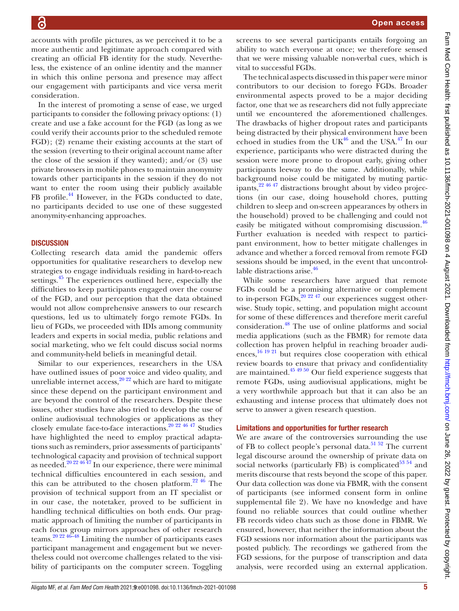Open access

accounts with profile pictures, as we perceived it to be a more authentic and legitimate approach compared with creating an official FB identity for the study. Nevertheless, the existence of an online identity and the manner in which this online persona and presence may affect our engagement with participants and vice versa merit consideration.

In the interest of promoting a sense of ease, we urged participants to consider the following privacy options: (1) create and use a fake account for the FGD (as long as we could verify their accounts prior to the scheduled remote FGD); (2) rename their existing accounts at the start of the session (reverting to their original account name after the close of the session if they wanted); and/or  $(3)$  use private browsers in mobile phones to maintain anonymity towards other participants in the session if they do not want to enter the room using their publicly available FB profile.<sup>44</sup> However, in the FGDs conducted to date, no participants decided to use one of these suggested anonymity-enhancing approaches.

#### **DISCUSSION**

Collecting research data amid the pandemic offers opportunities for qualitative researchers to develop new strategies to engage individuals residing in hard-to-reach settings.<sup>45</sup> The experiences outlined here, especially the difficulties to keep participants engaged over the course of the FGD, and our perception that the data obtained would not allow comprehensive answers to our research questions, led us to ultimately forgo remote FGDs. In lieu of FGDs, we proceeded with IDIs among community leaders and experts in social media, public relations and social marketing, who we felt could discuss social norms and community-held beliefs in meaningful detail.

Similar to our experiences, researchers in the USA have outlined issues of poor voice and video quality, and unreliable internet access,  $20\frac{20}{22}$  which are hard to mitigate since these depend on the participant environment and are beyond the control of the researchers. Despite these issues, other studies have also tried to develop the use of online audiovisual technologies or applications as they closely emulate face-to-face interactions.[20 22 46 47](#page-6-23) Studies have highlighted the need to employ practical adaptations such as reminders, prior assessments of participants' technological capacity and provision of technical support as needed.<sup>20 22 46 47</sup> In our experience, there were minimal technical difficulties encountered in each session, and this can be attributed to the chosen platform.<sup>22 46</sup> The provision of technical support from an IT specialist or in our case, the notetaker, proved to be sufficient in handling technical difficulties on both ends. Our pragmatic approach of limiting the number of participants in each focus group mirrors approaches of other research teams.[20 22 46–48](#page-6-23) Limiting the number of participants eases participant management and engagement but we nevertheless could not overcome challenges related to the visibility of participants on the computer screen. Toggling

screens to see several participants entails forgoing an ability to watch everyone at once; we therefore sensed that we were missing valuable non-verbal cues, which is vital to successful FGDs.

The technical aspects discussed in this paper were minor contributors to our decision to forego FGDs. Broader environmental aspects proved to be a major deciding factor, one that we as researchers did not fully appreciate until we encountered the aforementioned challenges. The drawbacks of higher dropout rates and participants being distracted by their physical environment have been echoed in studies from the UK<sup>46</sup> and the USA.<sup>47</sup> In our experience, participants who were distracted during the session were more prone to dropout early, giving other participants leeway to do the same. Additionally, while background noise could be mitigated by muting participants,  $2^2 \frac{46 \frac{47}{3}}{4}$  distractions brought about by video projections (in our case, doing household chores, putting children to sleep and on-screen appearances by others in the household) proved to be challenging and could not easily be mitigated without compromising discussion.<sup>[46](#page-6-24)</sup> Further evaluation is needed with respect to participant environment, how to better mitigate challenges in advance and whether a forced removal from remote FGD sessions should be imposed, in the event that uncontrol-lable distractions arise.<sup>[46](#page-6-24)</sup>

While some researchers have argued that remote FGDs could be a promising alternative or complement to in-person FGDs, $^{20}$   $^{22}$   $^{47}$  our experiences suggest otherwise. Study topic, setting, and population might account for some of these differences and therefore merit careful consideration.[48](#page-6-26) The use of online platforms and social media applications (such as the FBMR) for remote data collection has proven helpful in reaching broader audiences, $16 \frac{19}{21}$  but requires close cooperation with ethical review boards to ensure that privacy and confidentiality are maintained[.45 49 50](#page-6-22) Our field experience suggests that remote FGDs, using audiovisual applications, might be a very worthwhile approach but that it can also be an exhausting and intense process that ultimately does not serve to answer a given research question.

#### Limitations and opportunities for further research

We are aware of the controversies surrounding the use of FB to collect people's personal data.<sup>51 52</sup> The current legal discourse around the ownership of private data on social networks (particularly FB) is complicated<sup>53 54</sup> and merits discourse that rests beyond the scope of this paper. Our data collection was done via FBMR, with the consent of participants (see informed consent form in [online](https://dx.doi.org/10.1136/fmch-2021-001098)  [supplemental file](https://dx.doi.org/10.1136/fmch-2021-001098) 2). We have no knowledge and have found no reliable sources that could outline whether FB records video chats such as those done in FBMR. We ensured, however, that neither the information about the FGD sessions nor information about the participants was posted publicly. The recordings we gathered from the FGD sessions, for the purpose of transcription and data analysis, were recorded using an external application.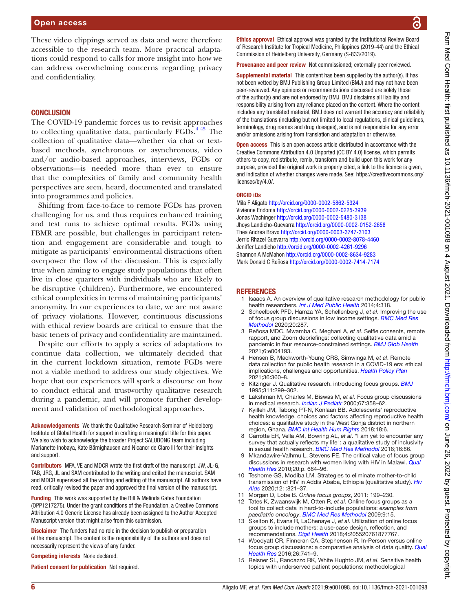These video clippings served as data and were therefore accessible to the research team. More practical adaptations could respond to calls for more insight into how we can address overwhelming concerns regarding privacy and confidentiality.

#### **CONCLUSION**

The COVID-19 pandemic forces us to revisit approaches to collecting qualitative data, particularly  $FGDs$ .<sup>445</sup> The collection of qualitative data—whether via chat or textbased methods, synchronous or asynchronous, video and/or audio-based approaches, interviews, FGDs or observations—is needed more than ever to ensure that the complexities of family and community health perspectives are seen, heard, documented and translated into programmes and policies.

Shifting from face-to-face to remote FGDs has proven challenging for us, and thus requires enhanced training and test runs to achieve optimal results. FGDs using FBMR are possible, but challenges in participant retention and engagement are considerable and tough to mitigate as participants' environmental distractions often overpower the flow of the discussion. This is especially true when aiming to engage study populations that often live in close quarters with individuals who are likely to be disruptive (children). Furthermore, we encountered ethical complexities in terms of maintaining participants' anonymity. In our experiences to date, we are not aware of privacy violations. However, continuous discussions with ethical review boards are critical to ensure that the basic tenets of privacy and confidentiality are maintained.

Despite our efforts to apply a series of adaptations to continue data collection, we ultimately decided that in the current lockdown situation, remote FGDs were not a viable method to address our study objectives. We hope that our experiences will spark a discourse on how to conduct ethical and trustworthy qualitative research during a pandemic, and will promote further development and validation of methodological approaches.

Acknowledgements We thank the Qualitative Research Seminar of Heidelberg Institute of Global Health for support in crafting a meaningful title for this paper. We also wish to acknowledge the broader Project SALUBONG team including Marianette Inobaya, Kate Bärnighausen and Nicanor de Claro III for their insights and support.

Contributors MFA, VE and MDCR wrote the first draft of the manuscript. JW, JL-G, TAB, JRG, JL and SAM contributed to the writing and edited the manuscript. SAM and MDCR supervised all the writing and editing of the manuscript. All authors have read, critically revised the paper and approved the final version of the manuscript.

Funding This work was supported by the Bill & Melinda Gates Foundation (OPP1217275). Under the grant conditions of the Foundation, a Creative Commons Attribution 4.0 Generic License has already been assigned to the Author Accepted Manuscript version that might arise from this submission.

**Disclaimer** The funders had no role in the decision to publish or preparation of the manuscript. The content is the responsibility of the authors and does not necessarily represent the views of any funder.

Competing interests None declared.

Patient consent for publication Not required.

Ethics approval Ethical approval was granted by the Institutional Review Board of Research Institute for Tropical Medicine, Philippines (2019-44) and the Ethical Commission of Heidelberg University, Germany (S-833/2019).

Provenance and peer review Not commissioned; externally peer reviewed.

**Supplemental material** This content has been supplied by the author(s). It has not been vetted by BMJ Publishing Group Limited (BMJ) and may not have been peer-reviewed. Any opinions or recommendations discussed are solely those of the author(s) and are not endorsed by BMJ. BMJ disclaims all liability and responsibility arising from any reliance placed on the content. Where the content includes any translated material, BMJ does not warrant the accuracy and reliability of the translations (including but not limited to local regulations, clinical guidelines, terminology, drug names and drug dosages), and is not responsible for any error and/or omissions arising from translation and adaptation or otherwise.

**Open access** This is an open access article distributed in accordance with the Creative Commons Attribution 4.0 Unported (CC BY 4.0) license, which permits others to copy, redistribute, remix, transform and build upon this work for any purpose, provided the original work is properly cited, a link to the licence is given, and indication of whether changes were made. See: [https://creativecommons.org/](https://creativecommons.org/licenses/by/4.0/) [licenses/by/4.0/](https://creativecommons.org/licenses/by/4.0/).

#### ORCID iDs

Mila F Aligato <http://orcid.org/0000-0002-5862-5324> Vivienne Endoma<http://orcid.org/0000-0002-0225-3939> Jonas Wachinger<http://orcid.org/0000-0002-5480-3138> Jhoys Landicho-Guevarra<http://orcid.org/0000-0002-0152-2658> Thea Andrea Bravo <http://orcid.org/0000-0003-3747-3103> Jerric Rhazel Guevarra <http://orcid.org/0000-0002-8078-4460> Jeniffer Landicho <http://orcid.org/0000-0002-4261-9296> Shannon A McMahon<http://orcid.org/0000-0002-8634-9283> Mark Donald C Reñosa<http://orcid.org/0000-0002-7414-7174>

#### **REFERENCES**

- <span id="page-5-0"></span>1 Isaacs A. An overview of qualitative research methodology for public health researchers. *[Int J Med Public Health](http://dx.doi.org/10.4103/2230-8598.144055)* 2014;4:318.
- 2 Scheelbeek PFD, Hamza YA, Schellenberg J, *et al*. Improving the use of focus group discussions in low income settings. *[BMC Med Res](http://dx.doi.org/10.1186/s12874-020-01168-8)  [Methodol](http://dx.doi.org/10.1186/s12874-020-01168-8)* 2020;20:287.
- <span id="page-5-1"></span>3 Reñosa MDC, Mwamba C, Meghani A, *et al*. Selfie consents, remote rapport, and Zoom debriefings: collecting qualitative data amid a pandemic in four resource-constrained settings. *[BMJ Glob Health](http://dx.doi.org/10.1136/bmjgh-2020-004193)* 2021;6:e004193.
- <span id="page-5-6"></span>4 Hensen B, Mackworth-Young CRS, Simwinga M, *et al*. Remote data collection for public health research in a COVID-19 era: ethical implications, challenges and opportunities. *[Health Policy Plan](http://dx.doi.org/10.1093/heapol/czaa158)* 2021;36:360–8.
- <span id="page-5-2"></span>5 Kitzinger J. Qualitative research. introducing focus groups. *[BMJ](http://dx.doi.org/10.1136/bmj.311.7000.299)* 1995;311:299–302.
- 6 Lakshman M, Charles M, Biswas M, *et al*. Focus group discussions in medical research. *[Indian J Pediatr](http://dx.doi.org/10.1007/BF02820688)* 2000;67:358–62.
- <span id="page-5-3"></span>7 Kyilleh JM, Tabong PT-N, Konlaan BB. Adolescents' reproductive health knowledge, choices and factors affecting reproductive health choices: a qualitative study in the West Gonja district in northern region, Ghana. *[BMC Int Health Hum Rights](http://dx.doi.org/10.1186/s12914-018-0147-5)* 2018;18:6.
- 8 Carrotte ER, Vella AM, Bowring AL, *et al*. "I am yet to encounter any survey that actually reflects my life": a qualitative study of inclusivity in sexual health research. *[BMC Med Res Methodol](http://dx.doi.org/10.1186/s12874-016-0193-4)* 2016;16:86.
- Mkandawire-Valhmu L, Stevens PE. The critical value of focus group discussions in research with women living with HIV in Malawi. *[Qual](http://dx.doi.org/10.1177/1049732309354283)  [Health Res](http://dx.doi.org/10.1177/1049732309354283)* 2010;20:p. 684–96.
- 10 Teshome GS, Modiba LM. Strategies to eliminate mother-to-child transmission of HIV in Addis Ababa, Ethiopia (qualitative study). *[Hiv](http://dx.doi.org/10.2147/HIV.S277461)  [Aids](http://dx.doi.org/10.2147/HIV.S277461)* 2020;12: :821–37.
- <span id="page-5-4"></span>11 Morgan D, Lobe B. *Online focus groups*, 2011: 199–230.
- 12 Tates K, Zwaanswijk M, Otten R, *et al*. Online focus groups as a tool to collect data in hard-to-include populations: *examples from paediatric oncology*. *[BMC Med Res Methodol](http://dx.doi.org/10.1186/1471-2288-9-15)* 2009;9:15.
- <span id="page-5-5"></span>13 Skelton K, Evans R, LaChenaye J, *et al*. Utilization of online focus groups to include mothers: a use-case design, reflection, and recommendations. *[Digit Health](http://dx.doi.org/10.1177/2055207618777675)* 2018;4:205520761877767.
- 14 Woodyatt CR, Finneran CA, Stephenson R. In-Person versus online focus group discussions: a comparative analysis of data quality. *[Qual](http://dx.doi.org/10.1177/1049732316631510)  [Health Res](http://dx.doi.org/10.1177/1049732316631510)* 2016;26:741–9.
- 15 Reisner SL, Randazzo RK, White Hughto JM, *et al*. Sensitive health topics with underserved patient populations: methodological